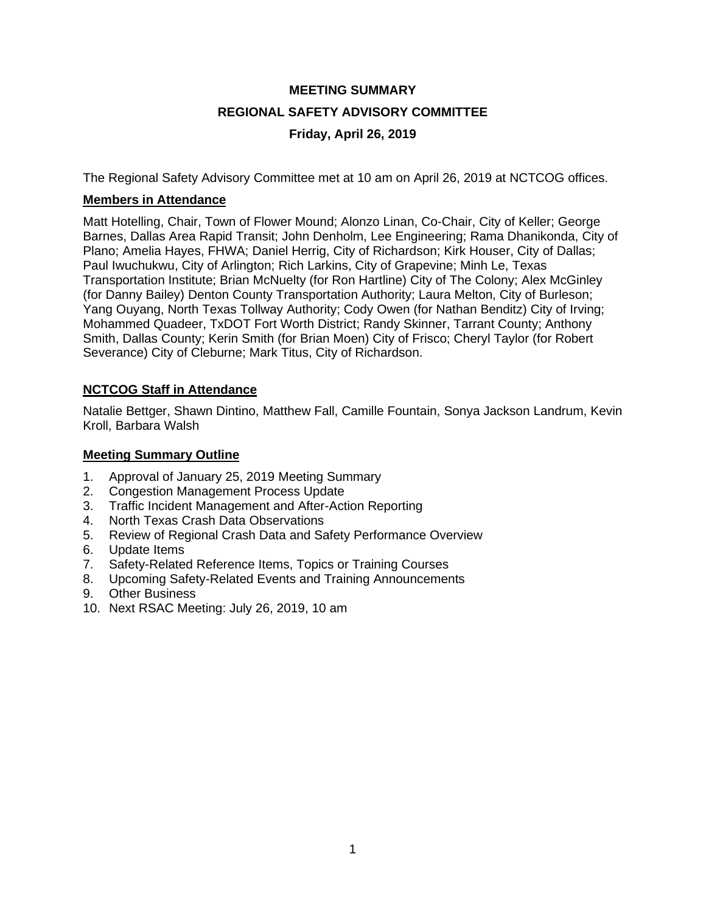# **MEETING SUMMARY REGIONAL SAFETY ADVISORY COMMITTEE Friday, April 26, 2019**

The Regional Safety Advisory Committee met at 10 am on April 26, 2019 at NCTCOG offices.

## **Members in Attendance**

Matt Hotelling, Chair, Town of Flower Mound; Alonzo Linan, Co-Chair, City of Keller; George Barnes, Dallas Area Rapid Transit; John Denholm, Lee Engineering; Rama Dhanikonda, City of Plano; Amelia Hayes, FHWA; Daniel Herrig, City of Richardson; Kirk Houser, City of Dallas; Paul Iwuchukwu, City of Arlington; Rich Larkins, City of Grapevine; Minh Le, Texas Transportation Institute; Brian McNuelty (for Ron Hartline) City of The Colony; Alex McGinley (for Danny Bailey) Denton County Transportation Authority; Laura Melton, City of Burleson; Yang Ouyang, North Texas Tollway Authority; Cody Owen (for Nathan Benditz) City of Irving; Mohammed Quadeer, TxDOT Fort Worth District; Randy Skinner, Tarrant County; Anthony Smith, Dallas County; Kerin Smith (for Brian Moen) City of Frisco; Cheryl Taylor (for Robert Severance) City of Cleburne; Mark Titus, City of Richardson.

# **NCTCOG Staff in Attendance**

Natalie Bettger, Shawn Dintino, Matthew Fall, Camille Fountain, Sonya Jackson Landrum, Kevin Kroll, Barbara Walsh

#### **Meeting Summary Outline**

- 1. Approval of January 25, 2019 Meeting Summary
- 2. Congestion Management Process Update<br>3. Traffic Incident Management and After-Act
- 3. Traffic Incident Management and After-Action Reporting
- 4. North Texas Crash Data Observations
- 5. Review of Regional Crash Data and Safety Performance Overview
- 6. Update Items
- 7. Safety-Related Reference Items, Topics or Training Courses
- 8. Upcoming Safety-Related Events and Training Announcements
- 9. Other Business
- 10. Next RSAC Meeting: July 26, 2019, 10 am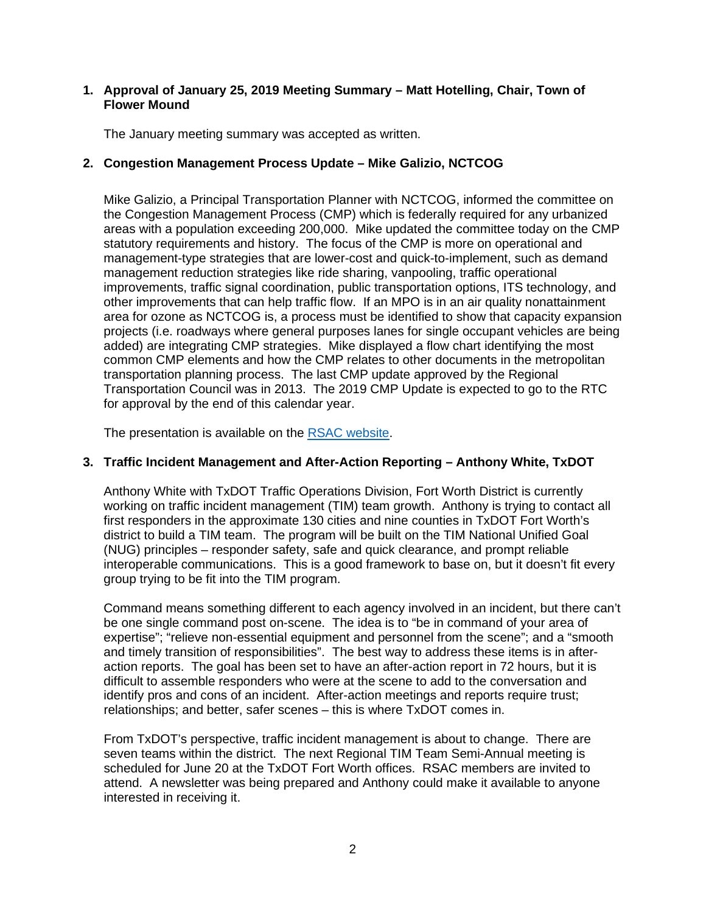## **1. Approval of January 25, 2019 Meeting Summary – Matt Hotelling, Chair, Town of Flower Mound**

The January meeting summary was accepted as written.

# **2. Congestion Management Process Update – Mike Galizio, NCTCOG**

Mike Galizio, a Principal Transportation Planner with NCTCOG, informed the committee on the Congestion Management Process (CMP) which is federally required for any urbanized areas with a population exceeding 200,000. Mike updated the committee today on the CMP statutory requirements and history. The focus of the CMP is more on operational and management-type strategies that are lower-cost and quick-to-implement, such as demand management reduction strategies like ride sharing, vanpooling, traffic operational improvements, traffic signal coordination, public transportation options, ITS technology, and other improvements that can help traffic flow. If an MPO is in an air quality nonattainment area for ozone as NCTCOG is, a process must be identified to show that capacity expansion projects (i.e. roadways where general purposes lanes for single occupant vehicles are being added) are integrating CMP strategies. Mike displayed a flow chart identifying the most common CMP elements and how the CMP relates to other documents in the metropolitan transportation planning process. The last CMP update approved by the Regional Transportation Council was in 2013. The 2019 CMP Update is expected to go to the RTC for approval by the end of this calendar year.

The presentation is available on the [RSAC website.](https://www.nctcog.org/trans/about/committees/regional-safety-advisory-committee)

## **3. Traffic Incident Management and After-Action Reporting – Anthony White, TxDOT**

Anthony White with TxDOT Traffic Operations Division, Fort Worth District is currently working on traffic incident management (TIM) team growth. Anthony is trying to contact all first responders in the approximate 130 cities and nine counties in TxDOT Fort Worth's district to build a TIM team. The program will be built on the TIM National Unified Goal (NUG) principles – responder safety, safe and quick clearance, and prompt reliable interoperable communications. This is a good framework to base on, but it doesn't fit every group trying to be fit into the TIM program.

Command means something different to each agency involved in an incident, but there can't be one single command post on-scene. The idea is to "be in command of your area of expertise"; "relieve non-essential equipment and personnel from the scene"; and a "smooth and timely transition of responsibilities". The best way to address these items is in afteraction reports. The goal has been set to have an after-action report in 72 hours, but it is difficult to assemble responders who were at the scene to add to the conversation and identify pros and cons of an incident. After-action meetings and reports require trust; relationships; and better, safer scenes – this is where TxDOT comes in.

From TxDOT's perspective, traffic incident management is about to change. There are seven teams within the district. The next Regional TIM Team Semi-Annual meeting is scheduled for June 20 at the TxDOT Fort Worth offices. RSAC members are invited to attend. A newsletter was being prepared and Anthony could make it available to anyone interested in receiving it.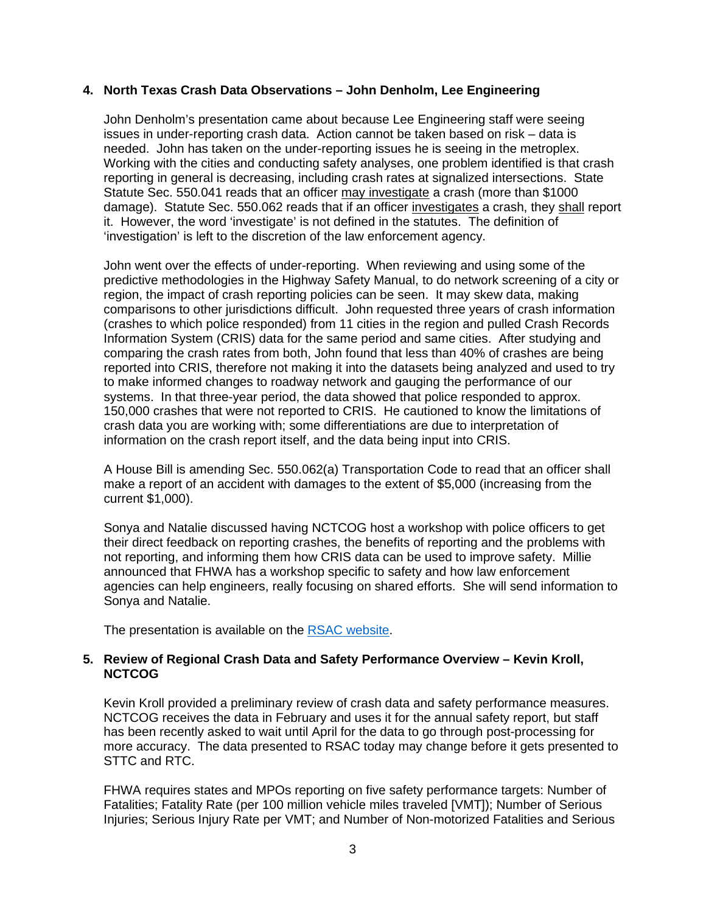#### **4. North Texas Crash Data Observations – John Denholm, Lee Engineering**

John Denholm's presentation came about because Lee Engineering staff were seeing issues in under-reporting crash data. Action cannot be taken based on risk – data is needed. John has taken on the under-reporting issues he is seeing in the metroplex. Working with the cities and conducting safety analyses, one problem identified is that crash reporting in general is decreasing, including crash rates at signalized intersections. State Statute Sec. 550.041 reads that an officer may investigate a crash (more than \$1000 damage). Statute Sec. 550.062 reads that if an officer investigates a crash, they shall report it. However, the word 'investigate' is not defined in the statutes. The definition of 'investigation' is left to the discretion of the law enforcement agency.

John went over the effects of under-reporting. When reviewing and using some of the predictive methodologies in the Highway Safety Manual, to do network screening of a city or region, the impact of crash reporting policies can be seen. It may skew data, making comparisons to other jurisdictions difficult. John requested three years of crash information (crashes to which police responded) from 11 cities in the region and pulled Crash Records Information System (CRIS) data for the same period and same cities. After studying and comparing the crash rates from both, John found that less than 40% of crashes are being reported into CRIS, therefore not making it into the datasets being analyzed and used to try to make informed changes to roadway network and gauging the performance of our systems. In that three-year period, the data showed that police responded to approx. 150,000 crashes that were not reported to CRIS. He cautioned to know the limitations of crash data you are working with; some differentiations are due to interpretation of information on the crash report itself, and the data being input into CRIS.

A House Bill is amending Sec. 550.062(a) Transportation Code to read that an officer shall make a report of an accident with damages to the extent of \$5,000 (increasing from the current \$1,000).

Sonya and Natalie discussed having NCTCOG host a workshop with police officers to get their direct feedback on reporting crashes, the benefits of reporting and the problems with not reporting, and informing them how CRIS data can be used to improve safety. Millie announced that FHWA has a workshop specific to safety and how law enforcement agencies can help engineers, really focusing on shared efforts. She will send information to Sonya and Natalie.

The presentation is available on the [RSAC website.](https://www.nctcog.org/trans/about/committees/regional-safety-advisory-committee)

#### **5. Review of Regional Crash Data and Safety Performance Overview – Kevin Kroll, NCTCOG**

Kevin Kroll provided a preliminary review of crash data and safety performance measures. NCTCOG receives the data in February and uses it for the annual safety report, but staff has been recently asked to wait until April for the data to go through post-processing for more accuracy. The data presented to RSAC today may change before it gets presented to STTC and RTC.

FHWA requires states and MPOs reporting on five safety performance targets: Number of Fatalities; Fatality Rate (per 100 million vehicle miles traveled [VMT]); Number of Serious Injuries; Serious Injury Rate per VMT; and Number of Non-motorized Fatalities and Serious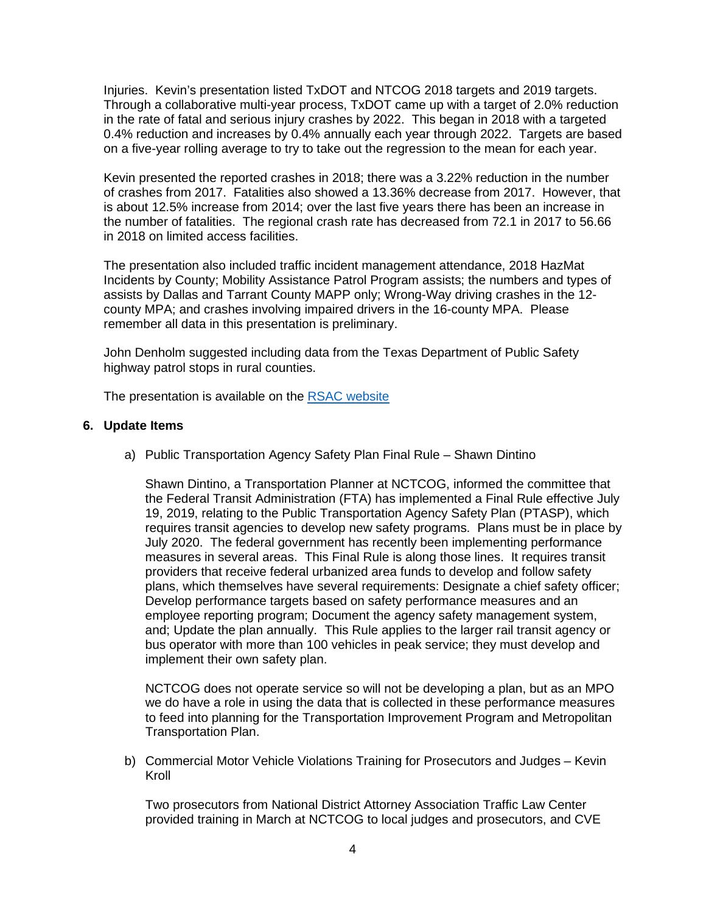Injuries. Kevin's presentation listed TxDOT and NTCOG 2018 targets and 2019 targets. Through a collaborative multi-year process, TxDOT came up with a target of 2.0% reduction in the rate of fatal and serious injury crashes by 2022. This began in 2018 with a targeted 0.4% reduction and increases by 0.4% annually each year through 2022. Targets are based on a five-year rolling average to try to take out the regression to the mean for each year.

Kevin presented the reported crashes in 2018; there was a 3.22% reduction in the number of crashes from 2017. Fatalities also showed a 13.36% decrease from 2017. However, that is about 12.5% increase from 2014; over the last five years there has been an increase in the number of fatalities. The regional crash rate has decreased from 72.1 in 2017 to 56.66 in 2018 on limited access facilities.

The presentation also included traffic incident management attendance, 2018 HazMat Incidents by County; Mobility Assistance Patrol Program assists; the numbers and types of assists by Dallas and Tarrant County MAPP only; Wrong-Way driving crashes in the 12 county MPA; and crashes involving impaired drivers in the 16-county MPA. Please remember all data in this presentation is preliminary.

John Denholm suggested including data from the Texas Department of Public Safety highway patrol stops in rural counties.

The presentation is available on the [RSAC website](https://www.nctcog.org/trans/about/committees/regional-safety-advisory-committee)

# **6. Update Items**

a) Public Transportation Agency Safety Plan Final Rule – Shawn Dintino

Shawn Dintino, a Transportation Planner at NCTCOG, informed the committee that the Federal Transit Administration (FTA) has implemented a Final Rule effective July 19, 2019, relating to the Public Transportation Agency Safety Plan (PTASP), which requires transit agencies to develop new safety programs. Plans must be in place by July 2020. The federal government has recently been implementing performance measures in several areas. This Final Rule is along those lines. It requires transit providers that receive federal urbanized area funds to develop and follow safety plans, which themselves have several requirements: Designate a chief safety officer; Develop performance targets based on safety performance measures and an employee reporting program; Document the agency safety management system, and; Update the plan annually. This Rule applies to the larger rail transit agency or bus operator with more than 100 vehicles in peak service; they must develop and implement their own safety plan.

NCTCOG does not operate service so will not be developing a plan, but as an MPO we do have a role in using the data that is collected in these performance measures to feed into planning for the Transportation Improvement Program and Metropolitan Transportation Plan.

b) Commercial Motor Vehicle Violations Training for Prosecutors and Judges – Kevin Kroll

Two prosecutors from National District Attorney Association Traffic Law Center provided training in March at NCTCOG to local judges and prosecutors, and CVE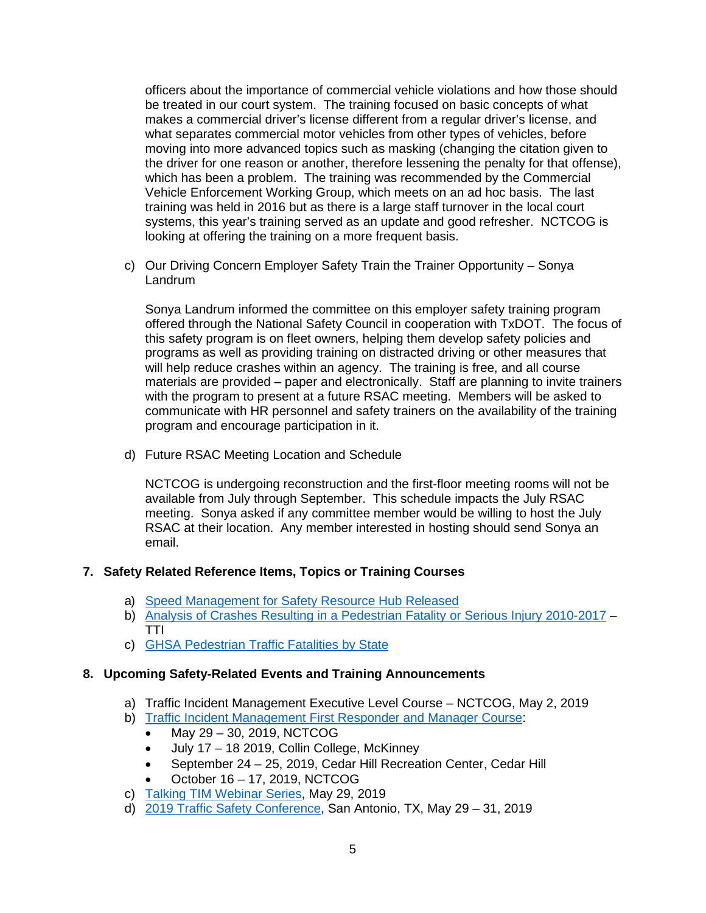officers about the importance of commercial vehicle violations and how those should be treated in our court system. The training focused on basic concepts of what makes a commercial driver's license different from a regular driver's license, and what separates commercial motor vehicles from other types of vehicles, before moving into more advanced topics such as masking (changing the citation given to the driver for one reason or another, therefore lessening the penalty for that offense), which has been a problem. The training was recommended by the Commercial Vehicle Enforcement Working Group, which meets on an ad hoc basis. The last training was held in 2016 but as there is a large staff turnover in the local court systems, this year's training served as an update and good refresher. NCTCOG is looking at offering the training on a more frequent basis.

c) Our Driving Concern Employer Safety Train the Trainer Opportunity – Sonya Landrum

Sonya Landrum informed the committee on this employer safety training program offered through the National Safety Council in cooperation with TxDOT. The focus of this safety program is on fleet owners, helping them develop safety policies and programs as well as providing training on distracted driving or other measures that will help reduce crashes within an agency. The training is free, and all course materials are provided – paper and electronically. Staff are planning to invite trainers with the program to present at a future RSAC meeting. Members will be asked to communicate with HR personnel and safety trainers on the availability of the training program and encourage participation in it.

d) Future RSAC Meeting Location and Schedule

NCTCOG is undergoing reconstruction and the first-floor meeting rooms will not be available from July through September. This schedule impacts the July RSAC meeting. Sonya asked if any committee member would be willing to host the July RSAC at their location. Any member interested in hosting should send Sonya an email.

# **7. Safety Related Reference Items, Topics or Training Courses**

- a) [Speed Management for Safety Resource Hub Released](https://www.ite.org/technical-resources/topics/speed-management-for-safety/)
- b) Analysis of [Crashes Resulting in a Pedestrian Fatality or Serious Injury 2010-2017](https://files.constantcontact.com/5f1cac10401/7151560a-e3e4-46d4-9042-d877e462cda7.pdf) -TTI
- c) [GHSA Pedestrian Traffic Fatalities by State](https://www.ghsa.org/sites/default/files/2019-02/FINAL_Pedestrians19.pdf)

# **8. Upcoming Safety-Related Events and Training Announcements**

- a) Traffic Incident Management Executive Level Course NCTCOG, May 2, 2019
- b) [Traffic Incident Management First Responder and Manager Course:](http://csrtc.nctcog.org/cvsfdropfull.aspx?coursegroup=1246)
	- May 29 30, 2019, NCTCOG
	- July 17 18 2019, Collin College, McKinney
	- September 24 25, 2019, Cedar Hill Recreation Center, Cedar Hill
	- October 16 17, 2019, NCTCOG
- c) [Talking TIM Webinar Series,](https://transportationops.org/event/talking-tim-webinar-series-may-webinar) May 29, 2019
- d) [2019 Traffic Safety Conference,](https://groups.tti.tamu.edu/cts/2019-traffic-safety-conference/) San Antonio, TX, May 29 31, 2019